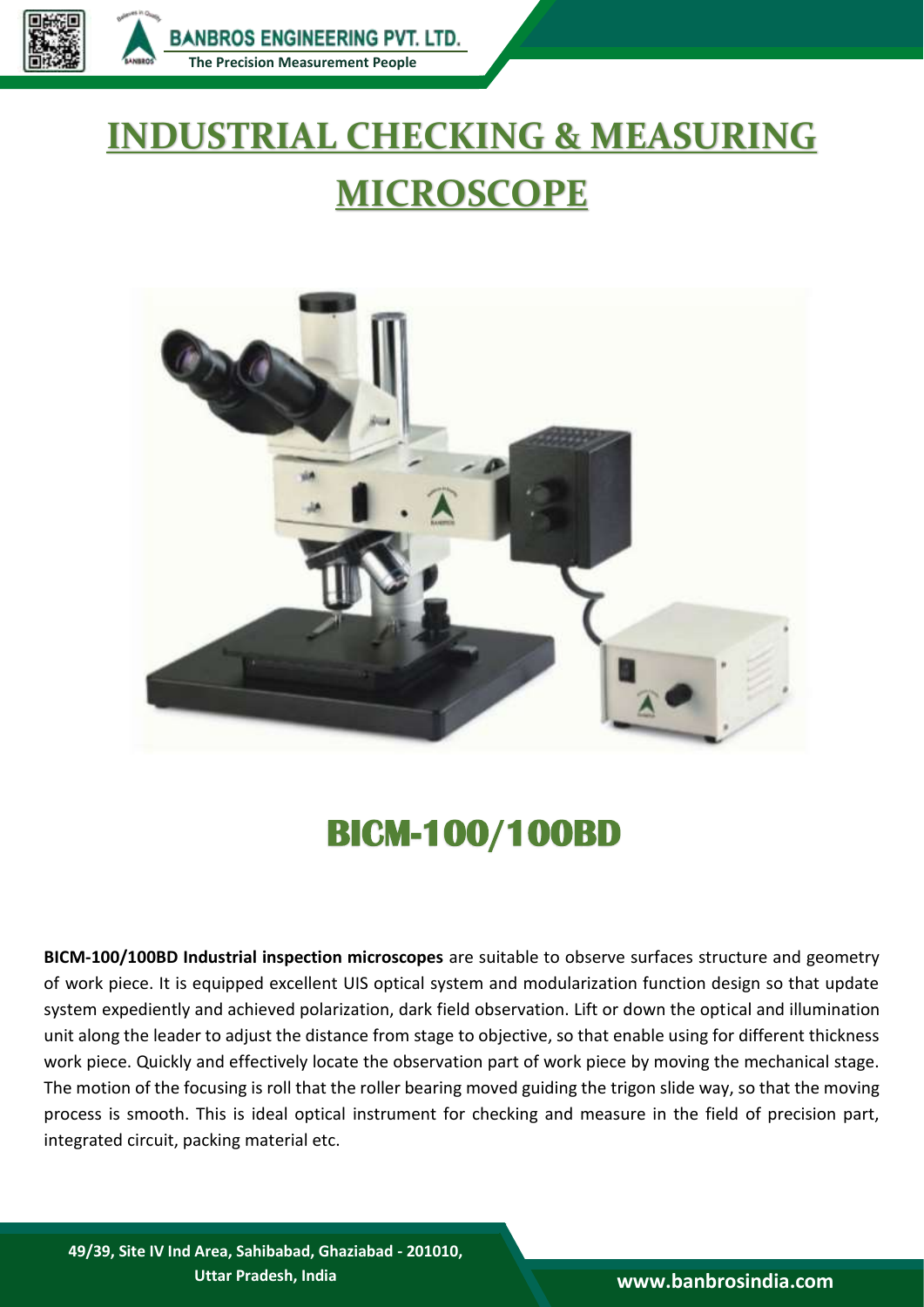

## **INDUSTRIAL CHECKING & MEASURING MICROSCOPE**



## **BICM-100/100BD**

**BICM-100/100BD Industrial inspection microscopes** are suitable to observe surfaces structure and geometry of work piece. It is equipped excellent UIS optical system and modularization function design so that update system expediently and achieved polarization, dark field observation. Lift or down the optical and illumination unit along the leader to adjust the distance from stage to objective, so that enable using for different thickness work piece. Quickly and effectively locate the observation part of work piece by moving the mechanical stage. The motion of the focusing is roll that the roller bearing moved guiding the trigon slide way, so that the moving process is smooth. This is ideal optical instrument for checking and measure in the field of precision part, integrated circuit, packing material etc.